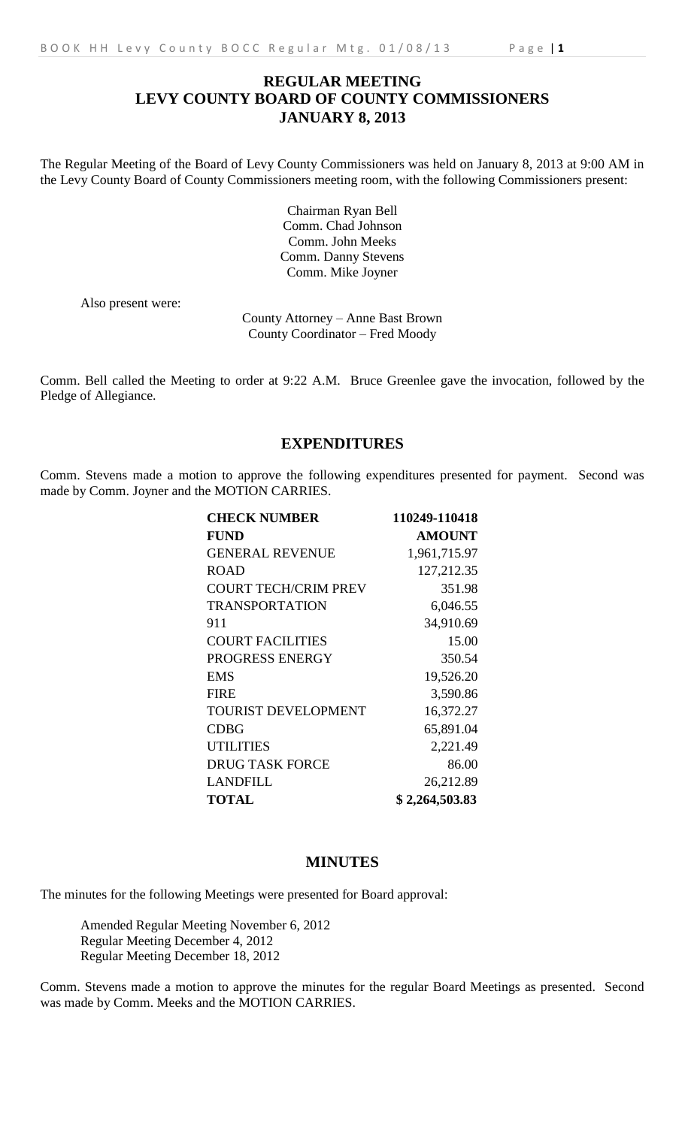# **REGULAR MEETING LEVY COUNTY BOARD OF COUNTY COMMISSIONERS JANUARY 8, 2013**

The Regular Meeting of the Board of Levy County Commissioners was held on January 8, 2013 at 9:00 AM in the Levy County Board of County Commissioners meeting room, with the following Commissioners present:

> Chairman Ryan Bell Comm. Chad Johnson Comm. John Meeks Comm. Danny Stevens Comm. Mike Joyner

Also present were:

County Attorney – Anne Bast Brown County Coordinator – Fred Moody

Comm. Bell called the Meeting to order at 9:22 A.M. Bruce Greenlee gave the invocation, followed by the Pledge of Allegiance.

## **EXPENDITURES**

Comm. Stevens made a motion to approve the following expenditures presented for payment. Second was made by Comm. Joyner and the MOTION CARRIES.

| <b>CHECK NUMBER</b>         | 110249-110418  |
|-----------------------------|----------------|
| <b>FUND</b>                 | <b>AMOUNT</b>  |
| <b>GENERAL REVENUE</b>      | 1,961,715.97   |
| <b>ROAD</b>                 | 127,212.35     |
| <b>COURT TECH/CRIM PREV</b> | 351.98         |
| <b>TRANSPORTATION</b>       | 6,046.55       |
| 911                         | 34,910.69      |
| <b>COURT FACILITIES</b>     | 15.00          |
| PROGRESS ENERGY             | 350.54         |
| <b>EMS</b>                  | 19,526.20      |
| <b>FIRE</b>                 | 3,590.86       |
| <b>TOURIST DEVELOPMENT</b>  | 16,372.27      |
| <b>CDBG</b>                 | 65,891.04      |
| <b>UTILITIES</b>            | 2,221.49       |
| <b>DRUG TASK FORCE</b>      | 86.00          |
| LANDFILL                    | 26,212.89      |
| <b>TOTAL</b>                | \$2,264,503.83 |

### **MINUTES**

The minutes for the following Meetings were presented for Board approval:

Amended Regular Meeting November 6, 2012 Regular Meeting December 4, 2012 Regular Meeting December 18, 2012

Comm. Stevens made a motion to approve the minutes for the regular Board Meetings as presented. Second was made by Comm. Meeks and the MOTION CARRIES.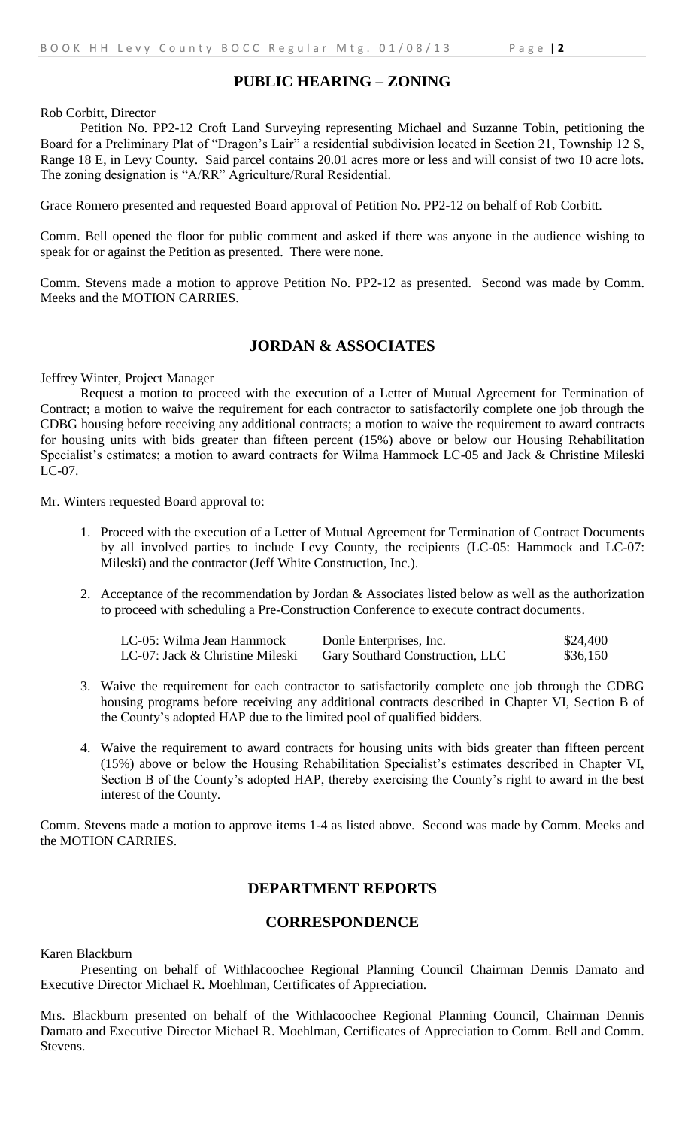## **PUBLIC HEARING – ZONING**

Rob Corbitt, Director

Petition No. PP2-12 Croft Land Surveying representing Michael and Suzanne Tobin, petitioning the Board for a Preliminary Plat of "Dragon's Lair" a residential subdivision located in Section 21, Township 12 S, Range 18 E, in Levy County. Said parcel contains 20.01 acres more or less and will consist of two 10 acre lots. The zoning designation is "A/RR" Agriculture/Rural Residential.

Grace Romero presented and requested Board approval of Petition No. PP2-12 on behalf of Rob Corbitt.

Comm. Bell opened the floor for public comment and asked if there was anyone in the audience wishing to speak for or against the Petition as presented. There were none.

Comm. Stevens made a motion to approve Petition No. PP2-12 as presented. Second was made by Comm. Meeks and the MOTION CARRIES.

### **JORDAN & ASSOCIATES**

Jeffrey Winter, Project Manager

Request a motion to proceed with the execution of a Letter of Mutual Agreement for Termination of Contract; a motion to waive the requirement for each contractor to satisfactorily complete one job through the CDBG housing before receiving any additional contracts; a motion to waive the requirement to award contracts for housing units with bids greater than fifteen percent (15%) above or below our Housing Rehabilitation Specialist's estimates; a motion to award contracts for Wilma Hammock LC-05 and Jack & Christine Mileski LC-07.

Mr. Winters requested Board approval to:

- 1. Proceed with the execution of a Letter of Mutual Agreement for Termination of Contract Documents by all involved parties to include Levy County, the recipients (LC-05: Hammock and LC-07: Mileski) and the contractor (Jeff White Construction, Inc.).
- 2. Acceptance of the recommendation by Jordan & Associates listed below as well as the authorization to proceed with scheduling a Pre-Construction Conference to execute contract documents.

| LC-05: Wilma Jean Hammock       | Donle Enterprises, Inc.         | \$24,400 |
|---------------------------------|---------------------------------|----------|
| LC-07: Jack & Christine Mileski | Gary Southard Construction, LLC | \$36,150 |

- 3. Waive the requirement for each contractor to satisfactorily complete one job through the CDBG housing programs before receiving any additional contracts described in Chapter VI, Section B of the County's adopted HAP due to the limited pool of qualified bidders.
- 4. Waive the requirement to award contracts for housing units with bids greater than fifteen percent (15%) above or below the Housing Rehabilitation Specialist's estimates described in Chapter VI, Section B of the County's adopted HAP, thereby exercising the County's right to award in the best interest of the County.

Comm. Stevens made a motion to approve items 1-4 as listed above. Second was made by Comm. Meeks and the MOTION CARRIES.

#### **DEPARTMENT REPORTS**

#### **CORRESPONDENCE**

Karen Blackburn

Presenting on behalf of Withlacoochee Regional Planning Council Chairman Dennis Damato and Executive Director Michael R. Moehlman, Certificates of Appreciation.

Mrs. Blackburn presented on behalf of the Withlacoochee Regional Planning Council, Chairman Dennis Damato and Executive Director Michael R. Moehlman, Certificates of Appreciation to Comm. Bell and Comm. Stevens.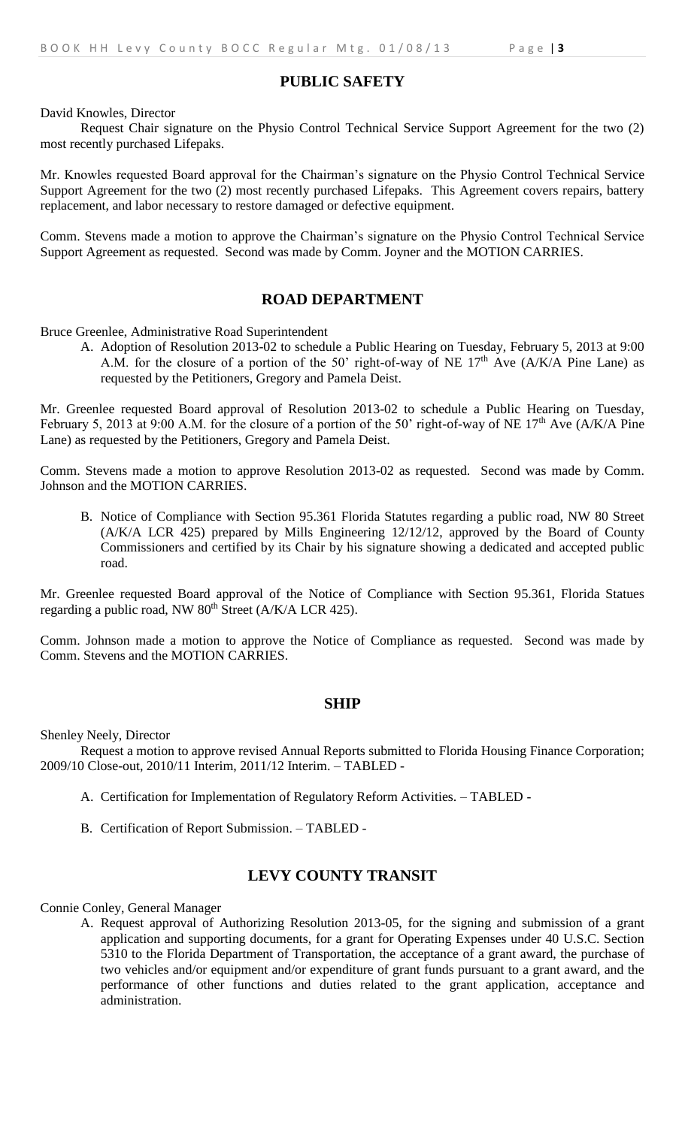### **PUBLIC SAFETY**

David Knowles, Director

Request Chair signature on the Physio Control Technical Service Support Agreement for the two (2) most recently purchased Lifepaks.

Mr. Knowles requested Board approval for the Chairman's signature on the Physio Control Technical Service Support Agreement for the two (2) most recently purchased Lifepaks. This Agreement covers repairs, battery replacement, and labor necessary to restore damaged or defective equipment.

Comm. Stevens made a motion to approve the Chairman's signature on the Physio Control Technical Service Support Agreement as requested. Second was made by Comm. Joyner and the MOTION CARRIES.

#### **ROAD DEPARTMENT**

Bruce Greenlee, Administrative Road Superintendent

A. Adoption of Resolution 2013-02 to schedule a Public Hearing on Tuesday, February 5, 2013 at 9:00 A.M. for the closure of a portion of the 50' right-of-way of NE  $17<sup>th</sup>$  Ave (A/K/A Pine Lane) as requested by the Petitioners, Gregory and Pamela Deist.

Mr. Greenlee requested Board approval of Resolution 2013-02 to schedule a Public Hearing on Tuesday, February 5, 2013 at 9:00 A.M. for the closure of a portion of the 50' right-of-way of NE 17<sup>th</sup> Ave (A/K/A Pine Lane) as requested by the Petitioners, Gregory and Pamela Deist.

Comm. Stevens made a motion to approve Resolution 2013-02 as requested. Second was made by Comm. Johnson and the MOTION CARRIES.

B. Notice of Compliance with Section 95.361 Florida Statutes regarding a public road, NW 80 Street (A/K/A LCR 425) prepared by Mills Engineering 12/12/12, approved by the Board of County Commissioners and certified by its Chair by his signature showing a dedicated and accepted public road.

Mr. Greenlee requested Board approval of the Notice of Compliance with Section 95.361, Florida Statues regarding a public road, NW  $80<sup>th</sup>$  Street (A/K/A LCR 425).

Comm. Johnson made a motion to approve the Notice of Compliance as requested. Second was made by Comm. Stevens and the MOTION CARRIES.

#### **SHIP**

Shenley Neely, Director

Request a motion to approve revised Annual Reports submitted to Florida Housing Finance Corporation; 2009/10 Close-out, 2010/11 Interim, 2011/12 Interim. – TABLED -

- A. Certification for Implementation of Regulatory Reform Activities. TABLED -
- B. Certification of Report Submission. TABLED -

## **LEVY COUNTY TRANSIT**

Connie Conley, General Manager

A. Request approval of Authorizing Resolution 2013-05, for the signing and submission of a grant application and supporting documents, for a grant for Operating Expenses under 40 U.S.C. Section 5310 to the Florida Department of Transportation, the acceptance of a grant award, the purchase of two vehicles and/or equipment and/or expenditure of grant funds pursuant to a grant award, and the performance of other functions and duties related to the grant application, acceptance and administration.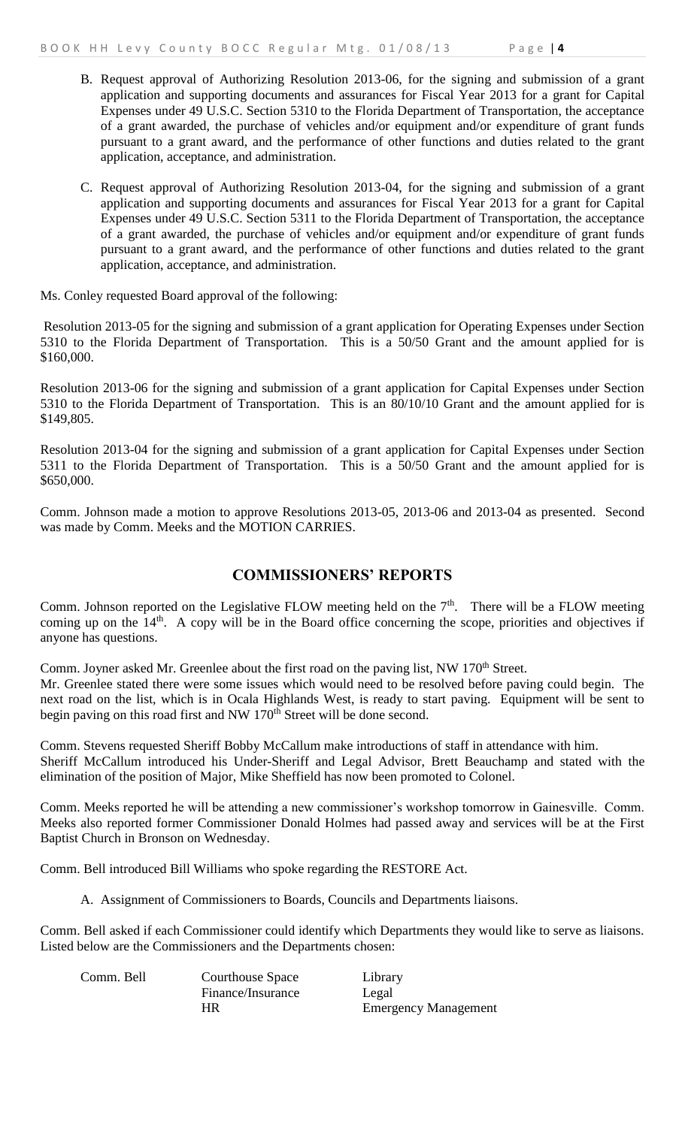- B. Request approval of Authorizing Resolution 2013-06, for the signing and submission of a grant application and supporting documents and assurances for Fiscal Year 2013 for a grant for Capital Expenses under 49 U.S.C. Section 5310 to the Florida Department of Transportation, the acceptance of a grant awarded, the purchase of vehicles and/or equipment and/or expenditure of grant funds pursuant to a grant award, and the performance of other functions and duties related to the grant application, acceptance, and administration.
- C. Request approval of Authorizing Resolution 2013-04, for the signing and submission of a grant application and supporting documents and assurances for Fiscal Year 2013 for a grant for Capital Expenses under 49 U.S.C. Section 5311 to the Florida Department of Transportation, the acceptance of a grant awarded, the purchase of vehicles and/or equipment and/or expenditure of grant funds pursuant to a grant award, and the performance of other functions and duties related to the grant application, acceptance, and administration.

Ms. Conley requested Board approval of the following:

Resolution 2013-05 for the signing and submission of a grant application for Operating Expenses under Section 5310 to the Florida Department of Transportation. This is a 50/50 Grant and the amount applied for is \$160,000.

Resolution 2013-06 for the signing and submission of a grant application for Capital Expenses under Section 5310 to the Florida Department of Transportation. This is an 80/10/10 Grant and the amount applied for is \$149,805.

Resolution 2013-04 for the signing and submission of a grant application for Capital Expenses under Section 5311 to the Florida Department of Transportation. This is a 50/50 Grant and the amount applied for is \$650,000.

Comm. Johnson made a motion to approve Resolutions 2013-05, 2013-06 and 2013-04 as presented. Second was made by Comm. Meeks and the MOTION CARRIES.

## **COMMISSIONERS' REPORTS**

Comm. Johnson reported on the Legislative FLOW meeting held on the  $7<sup>th</sup>$ . There will be a FLOW meeting coming up on the 14<sup>th</sup>. A copy will be in the Board office concerning the scope, priorities and objectives if anyone has questions.

Comm. Joyner asked Mr. Greenlee about the first road on the paving list, NW 170<sup>th</sup> Street.

Mr. Greenlee stated there were some issues which would need to be resolved before paving could begin. The next road on the list, which is in Ocala Highlands West, is ready to start paving. Equipment will be sent to begin paving on this road first and NW 170<sup>th</sup> Street will be done second.

Comm. Stevens requested Sheriff Bobby McCallum make introductions of staff in attendance with him. Sheriff McCallum introduced his Under-Sheriff and Legal Advisor, Brett Beauchamp and stated with the elimination of the position of Major, Mike Sheffield has now been promoted to Colonel.

Comm. Meeks reported he will be attending a new commissioner's workshop tomorrow in Gainesville. Comm. Meeks also reported former Commissioner Donald Holmes had passed away and services will be at the First Baptist Church in Bronson on Wednesday.

Comm. Bell introduced Bill Williams who spoke regarding the RESTORE Act.

A. Assignment of Commissioners to Boards, Councils and Departments liaisons.

Comm. Bell asked if each Commissioner could identify which Departments they would like to serve as liaisons. Listed below are the Commissioners and the Departments chosen:

Comm. Bell Courthouse Space Library Finance/Insurance Legal HR Emergency Management